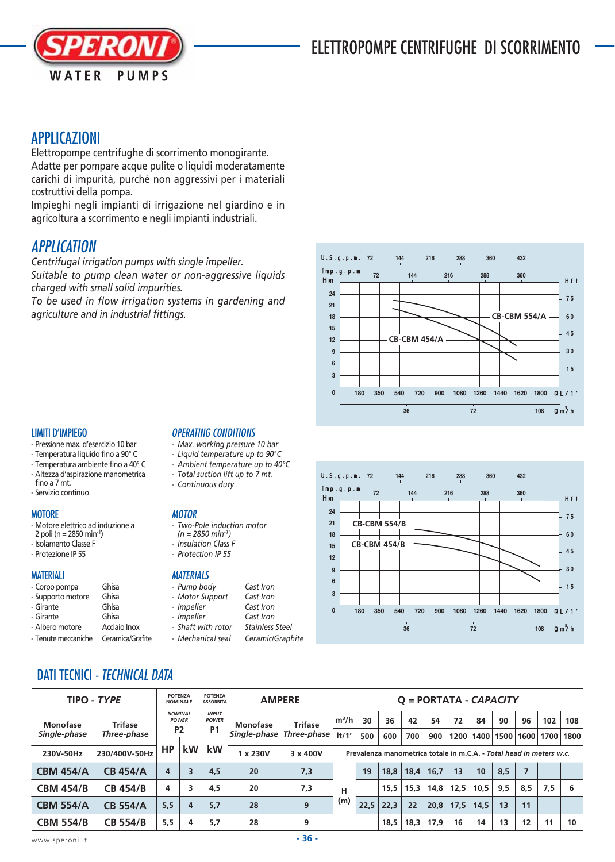## ELETTROPOMPE CENTRIFUGHE DI SCORRIMENTO



## APPLICAZIONI

Elettropompe centrifughe di scorrimento monogirante. Adatte per pompare acque pulite o liquidi moderatamente carichi di impurità, purchè non aggressivi per i materiali costruttivi della pompa.

Impieghi negli impianti di irrigazione nel giardino e in agricoltura a scorrimento e negli impianti industriali.

## **APPLICATION**

*Centrifugal irrigation pumps with single impeller. Suitable to pump clean water or non-aggressive liquids charged with small solid impurities.*

*To be used in flow irrigation systems in gardening and agriculture and in industrial fittings.*

#### LIMITI D'IMPIEGO

- Pressione max. d'esercizio 10 bar
- Temperatura liquido fino a 90° C
- Temperatura ambiente fino a 40° C - Altezza d'aspirazione manometrica
- fino a 7 mt.
- Servizio continuo

#### **MOTORE**

- Motore elettrico ad induzione a
- 2 poli (n = 2850 min<sup>-1</sup>)
- Isolamento Classe F
- Protezione IP 55

#### **MATFRIALI**

- Corpo pompa Ghisa
- Supporto motore Ghisa
- Girante Ghisa<br>- Girante Ghisa
- Girante
- Albero motore Acciaio Inox
- Tenute meccaniche Ceramica/Grafite

#### OPERATING CONDITIONS

- *Max. working pressure 10 bar*
- *Liquid temperature up to 90°C*
- *Ambient temperature up to 40°C*
- *Total suction lift up to 7 mt.*
- *Continuous duty*

#### **MOTOR**

- *Two-Pole induction motor*
- *(n = 2850 min-1)*
- *Insulation Class F*
- *Protection IP 55*

#### **MATERIALS**

- Impeller

- *Pump body Cast Iron*
- *Motor Support Cast Iron*
- *Impeller Cast Iron*
	-
- *Shaft with rotor Stainless Steel*
- *Mechanical seal Ceramic/Graphite*





## DATI TECNICI - TECHNICAL DATA

| TIPO - TYPE      | <b>POTENZA</b><br><b>NOMINALE</b> |                                                  | <b>POTENZA</b><br><b>ASSORBITA</b> | <b>AMPERE</b>                | $Q = PORTATA - CAPACITY$ |                |                                                                     |      |      |      |      |      |      |     |     |                    |      |  |
|------------------|-----------------------------------|--------------------------------------------------|------------------------------------|------------------------------|--------------------------|----------------|---------------------------------------------------------------------|------|------|------|------|------|------|-----|-----|--------------------|------|--|
| Monofase         | <b>Trifase</b>                    | <b>NOMINAL</b><br><b>POWER</b><br>P <sub>2</sub> |                                    | <b>INPUT</b><br><b>POWER</b> | Monofase                 | <b>Trifase</b> | $m^3/h$                                                             | 30   | 36   | 42   | 54   | 72   | 84   | 90  | 96  | 102                | 108  |  |
| Single-phase     | Three-phase                       |                                                  |                                    | <b>P1</b>                    | Single-phase             | Three-phase    | lt/1'                                                               | 500  | 600  | 700  | 900  | 1200 | 1400 |     |     | 1500   1600   1700 | 1800 |  |
| 230V-50Hz        | 230/400V-50Hz                     | НP                                               | <b>kW</b>                          | kW                           | 1 x 230V                 | 3 x 400V       | Prevalenza manometrica totale in m.C.A. - Total head in meters w.c. |      |      |      |      |      |      |     |     |                    |      |  |
| <b>CBM 454/A</b> | <b>CB 454/A</b>                   | 4                                                | 3                                  | 4,5                          | 20                       | 7,3            | н<br>(m)                                                            | 19   | 18.8 | 18.4 | 16.7 | 13   | 10   | 8,5 |     |                    |      |  |
| <b>CBM 454/B</b> | <b>CB 454/B</b>                   | 4                                                | 3                                  | 4,5                          | 20                       | 7,3            |                                                                     |      | 15.5 | 15,3 | 14,8 | 12,5 | 10,5 | 9,5 | 8,5 | 7,5                | 6    |  |
| <b>CBM 554/A</b> | <b>CB 554/A</b>                   | 5.5                                              | 4                                  | 5.7                          | 28                       | 9              |                                                                     | 22.5 | 22.3 | 22   | 20.8 | 17,5 | 14.5 | 13  | 11  |                    |      |  |
| <b>CBM 554/B</b> | <b>CB 554/B</b>                   | 5,5                                              | 4                                  | 5,7                          | 28                       | 9              |                                                                     |      | 18,5 | 18,3 | 17,9 | 16   | 14   | 13  | 12  | 11                 | 10   |  |